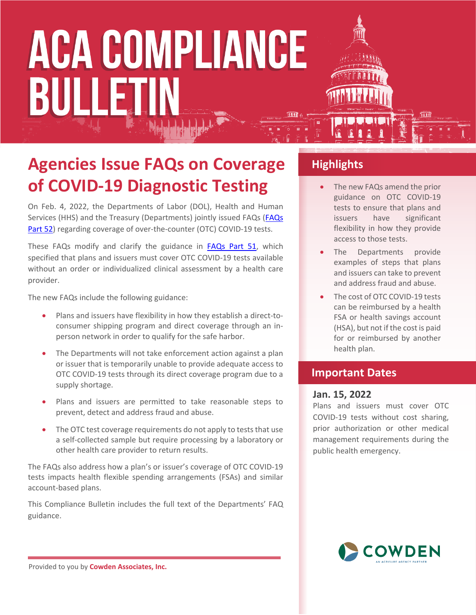### **Agencies Issue FAQs on Coverage of COVID-19 Diagnostic Testing**

On Feb. 4, 2022, the Departments of Labor (DOL), Health and Human Services (HHS) and the Treasury (Departments) jointly issued FAQs (FAQs [Part 52](https://www.dol.gov/agencies/ebsa/about-ebsa/our-activities/resource-center/faqs/aca-part-52)) regarding coverage of over-the-counter (OTC) COVID-19 tests.

These FAQs modify and clarify the guidance in [FAQs Part 51,](https://www.dol.gov/sites/dolgov/files/ebsa/about-ebsa/our-activities/resource-center/faqs/aca-part-51.pdf) which specified that plans and issuers must cover OTC COVID-19 tests available without an order or individualized clinical assessment by a health care provider.

The new FAQs include the following guidance:

- Plans and issuers have flexibility in how they establish a direct-toconsumer shipping program and direct coverage through an inperson network in order to qualify for the safe harbor.
- The Departments will not take enforcement action against a plan or issuer that is temporarily unable to provide adequate access to OTC COVID-19 tests through its direct coverage program due to a supply shortage.
- Plans and issuers are permitted to take reasonable steps to prevent, detect and address fraud and abuse.
- The OTC test coverage requirements do not apply to tests that use a self-collected sample but require processing by a laboratory or other health care provider to return results.

The FAQs also address how a plan's or issuer's coverage of OTC COVID-19 tests impacts health flexible spending arrangements (FSAs) and similar account-based plans.

This Compliance Bulletin includes the full text of the Departments' FAQ guidance.

### **Highlights**

- The new FAQs amend the prior guidance on OTC COVID-19 tests to ensure that plans and issuers have significant flexibility in how they provide access to those tests.
- The Departments provide examples of steps that plans and issuers can take to prevent and address fraud and abuse.
- The cost of OTC COVID-19 tests can be reimbursed by a health FSA or health savings account (HSA), but not if the cost is paid for or reimbursed by another health plan.

### **Important Dates**

#### **Jan. 15, 2022**

Plans and issuers must cover OTC COVID-19 tests without cost sharing, prior authorization or other medical management requirements during the public health emergency.



Provided to you by **Cowden Associates, Inc.**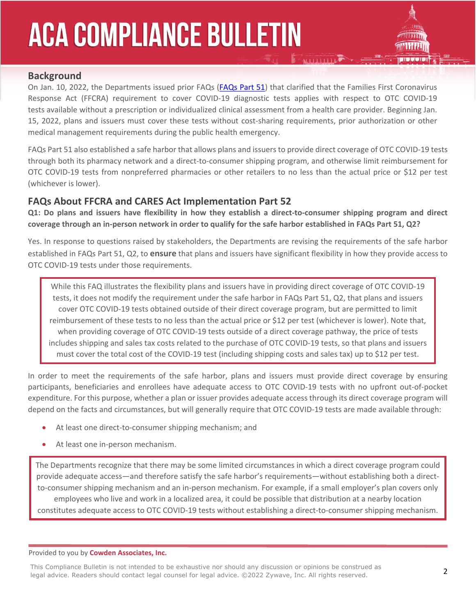

### **Background**

On Jan. 10, 2022, the Departments issued prior FAQs [\(FAQs Part 51\)](https://www.dol.gov/sites/dolgov/files/ebsa/about-ebsa/our-activities/resource-center/faqs/aca-part-51.pdf) that clarified that the Families First Coronavirus Response Act (FFCRA) requirement to cover COVID-19 diagnostic tests applies with respect to OTC COVID-19 tests available without a prescription or individualized clinical assessment from a health care provider. Beginning Jan. 15, 2022, plans and issuers must cover these tests without cost-sharing requirements, prior authorization or other medical management requirements during the public health emergency.

FAQs Part 51 also established a safe harbor that allows plans and issuers to provide direct coverage of OTC COVID-19 tests through both its pharmacy network and a direct-to-consumer shipping program, and otherwise limit reimbursement for OTC COVID-19 tests from nonpreferred pharmacies or other retailers to no less than the actual price or \$12 per test (whichever is lower).

### **FAQs About FFCRA and CARES Act Implementation Part 52**

**Q1: Do plans and issuers have flexibility in how they establish a direct-to-consumer shipping program and direct coverage through an in-person network in order to qualify for the safe harbor established in FAQs Part 51, Q2?**

Yes. In response to questions raised by stakeholders, the Departments are revising the requirements of the safe harbor established in FAQs Part 51, Q2, to **ensure** that plans and issuers have significant flexibility in how they provide access to OTC COVID-19 tests under those requirements.

While this FAQ illustrates the flexibility plans and issuers have in providing direct coverage of OTC COVID-19 tests, it does not modify the requirement under the safe harbor in FAQs Part 51, Q2, that plans and issuers cover OTC COVID-19 tests obtained outside of their direct coverage program, but are permitted to limit reimbursement of these tests to no less than the actual price or \$12 per test (whichever is lower). Note that, when providing coverage of OTC COVID-19 tests outside of a direct coverage pathway, the price of tests includes shipping and sales tax costs related to the purchase of OTC COVID-19 tests, so that plans and issuers must cover the total cost of the COVID-19 test (including shipping costs and sales tax) up to \$12 per test.

In order to meet the requirements of the safe harbor, plans and issuers must provide direct coverage by ensuring participants, beneficiaries and enrollees have adequate access to OTC COVID-19 tests with no upfront out-of-pocket expenditure. For this purpose, whether a plan or issuer provides adequate access through its direct coverage program will depend on the facts and circumstances, but will generally require that OTC COVID-19 tests are made available through:

- At least one direct-to-consumer shipping mechanism; and
- At least one in-person mechanism.

The Departments recognize that there may be some limited circumstances in which a direct coverage program could provide adequate access—and therefore satisfy the safe harbor's requirements—without establishing both a directto-consumer shipping mechanism and an in-person mechanism. For example, if a small employer's plan covers only employees who live and work in a localized area, it could be possible that distribution at a nearby location constitutes adequate access to OTC COVID-19 tests without establishing a direct-to-consumer shipping mechanism.

Provided to you by **Cowden Associates, Inc.**

This Compliance Bulletin is not intended to be exhaustive nor should any discussion or opinions be construed as legal advice. Readers should contact legal counsel for legal advice. ©2022 Zywave, Inc. All rights reserved.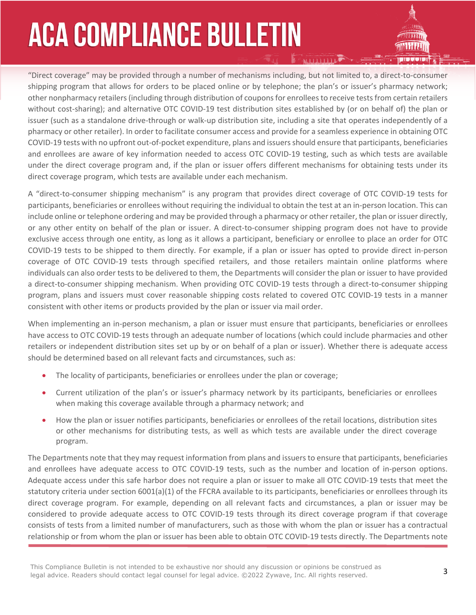"Direct coverage" may be provided through a number of mechanisms including, but not limited to, a direct-to-consumer shipping program that allows for orders to be placed online or by telephone; the plan's or issuer's pharmacy network; other nonpharmacy retailers (including through distribution of coupons for enrollees to receive tests from certain retailers without cost-sharing); and alternative OTC COVID-19 test distribution sites established by (or on behalf of) the plan or issuer (such as a standalone drive-through or walk-up distribution site, including a site that operates independently of a pharmacy or other retailer). In order to facilitate consumer access and provide for a seamless experience in obtaining OTC COVID-19 tests with no upfront out-of-pocket expenditure, plans and issuers should ensure that participants, beneficiaries and enrollees are aware of key information needed to access OTC COVID-19 testing, such as which tests are available under the direct coverage program and, if the plan or issuer offers different mechanisms for obtaining tests under its direct coverage program, which tests are available under each mechanism.

A "direct-to-consumer shipping mechanism" is any program that provides direct coverage of OTC COVID-19 tests for participants, beneficiaries or enrollees without requiring the individual to obtain the test at an in-person location. This can include online or telephone ordering and may be provided through a pharmacy or other retailer, the plan or issuer directly, or any other entity on behalf of the plan or issuer. A direct-to-consumer shipping program does not have to provide exclusive access through one entity, as long as it allows a participant, beneficiary or enrollee to place an order for OTC COVID-19 tests to be shipped to them directly. For example, if a plan or issuer has opted to provide direct in-person coverage of OTC COVID-19 tests through specified retailers, and those retailers maintain online platforms where individuals can also order tests to be delivered to them, the Departments will consider the plan or issuer to have provided a direct-to-consumer shipping mechanism. When providing OTC COVID-19 tests through a direct-to-consumer shipping program, plans and issuers must cover reasonable shipping costs related to covered OTC COVID-19 tests in a manner consistent with other items or products provided by the plan or issuer via mail order.

When implementing an in-person mechanism, a plan or issuer must ensure that participants, beneficiaries or enrollees have access to OTC COVID-19 tests through an adequate number of locations (which could include pharmacies and other retailers or independent distribution sites set up by or on behalf of a plan or issuer). Whether there is adequate access should be determined based on all relevant facts and circumstances, such as:

- The locality of participants, beneficiaries or enrollees under the plan or coverage;
- Current utilization of the plan's or issuer's pharmacy network by its participants, beneficiaries or enrollees when making this coverage available through a pharmacy network; and
- How the plan or issuer notifies participants, beneficiaries or enrollees of the retail locations, distribution sites or other mechanisms for distributing tests, as well as which tests are available under the direct coverage program.

The Departments note that they may request information from plans and issuers to ensure that participants, beneficiaries and enrollees have adequate access to OTC COVID-19 tests, such as the number and location of in-person options. Adequate access under this safe harbor does not require a plan or issuer to make all OTC COVID-19 tests that meet the statutory criteria under section 6001(a)(1) of the FFCRA available to its participants, beneficiaries or enrollees through its direct coverage program. For example, depending on all relevant facts and circumstances, a plan or issuer may be considered to provide adequate access to OTC COVID-19 tests through its direct coverage program if that coverage consists of tests from a limited number of manufacturers, such as those with whom the plan or issuer has a contractual relationship or from whom the plan or issuer has been able to obtain OTC COVID-19 tests directly. The Departments note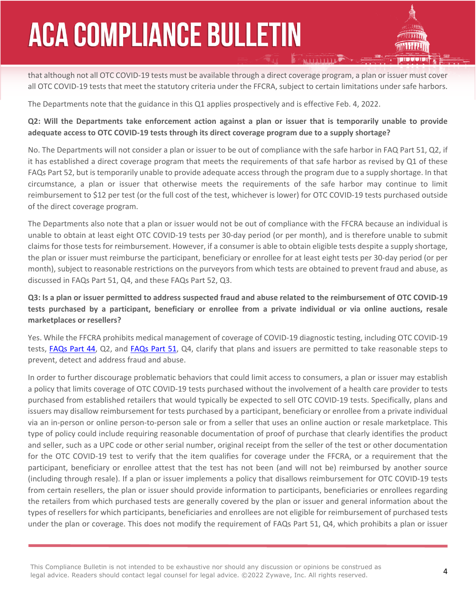that although not all OTC COVID-19 tests must be available through a direct coverage program, a plan or issuer must cover all OTC COVID-19 tests that meet the statutory criteria under the FFCRA, subject to certain limitations under safe harbors.

The Departments note that the guidance in this Q1 applies prospectively and is effective Feb. 4, 2022.

#### **Q2: Will the Departments take enforcement action against a plan or issuer that is temporarily unable to provide adequate access to OTC COVID-19 tests through its direct coverage program due to a supply shortage?**

No. The Departments will not consider a plan or issuer to be out of compliance with the safe harbor in FAQ Part 51, Q2, if it has established a direct coverage program that meets the requirements of that safe harbor as revised by Q1 of these FAQs Part 52, but is temporarily unable to provide adequate access through the program due to a supply shortage. In that circumstance, a plan or issuer that otherwise meets the requirements of the safe harbor may continue to limit reimbursement to \$12 per test (or the full cost of the test, whichever is lower) for OTC COVID-19 tests purchased outside of the direct coverage program.

The Departments also note that a plan or issuer would not be out of compliance with the FFCRA because an individual is unable to obtain at least eight OTC COVID-19 tests per 30-day period (or per month), and is therefore unable to submit claims for those tests for reimbursement. However, if a consumer is able to obtain eligible tests despite a supply shortage, the plan or issuer must reimburse the participant, beneficiary or enrollee for at least eight tests per 30-day period (or per month), subject to reasonable restrictions on the purveyors from which tests are obtained to prevent fraud and abuse, as discussed in FAQs Part 51, Q4, and these FAQs Part 52, Q3.

#### **Q3: Is a plan or issuer permitted to address suspected fraud and abuse related to the reimbursement of OTC COVID-19 tests purchased by a participant, beneficiary or enrollee from a private individual or via online auctions, resale marketplaces or resellers?**

Yes. While the FFCRA prohibits medical management of coverage of COVID-19 diagnostic testing, including OTC COVID-19 tests, [FAQs Part 44,](https://www.dol.gov/sites/dolgov/files/ebsa/about-ebsa/our-activities/resource-center/faqs/aca-part-44.pdf) Q2, and [FAQs Part 51](https://www.dol.gov/sites/dolgov/files/ebsa/about-ebsa/our-activities/resource-center/faqs/aca-part-51.pdf), Q4, clarify that plans and issuers are permitted to take reasonable steps to prevent, detect and address fraud and abuse.

In order to further discourage problematic behaviors that could limit access to consumers, a plan or issuer may establish a policy that limits coverage of OTC COVID-19 tests purchased without the involvement of a health care provider to tests purchased from established retailers that would typically be expected to sell OTC COVID-19 tests. Specifically, plans and issuers may disallow reimbursement for tests purchased by a participant, beneficiary or enrollee from a private individual via an in-person or online person-to-person sale or from a seller that uses an online auction or resale marketplace. This type of policy could include requiring reasonable documentation of proof of purchase that clearly identifies the product and seller, such as a UPC code or other serial number, original receipt from the seller of the test or other documentation for the OTC COVID-19 test to verify that the item qualifies for coverage under the FFCRA, or a requirement that the participant, beneficiary or enrollee attest that the test has not been (and will not be) reimbursed by another source (including through resale). If a plan or issuer implements a policy that disallows reimbursement for OTC COVID-19 tests from certain resellers, the plan or issuer should provide information to participants, beneficiaries or enrollees regarding the retailers from which purchased tests are generally covered by the plan or issuer and general information about the types of resellers for which participants, beneficiaries and enrollees are not eligible for reimbursement of purchased tests under the plan or coverage. This does not modify the requirement of FAQs Part 51, Q4, which prohibits a plan or issuer